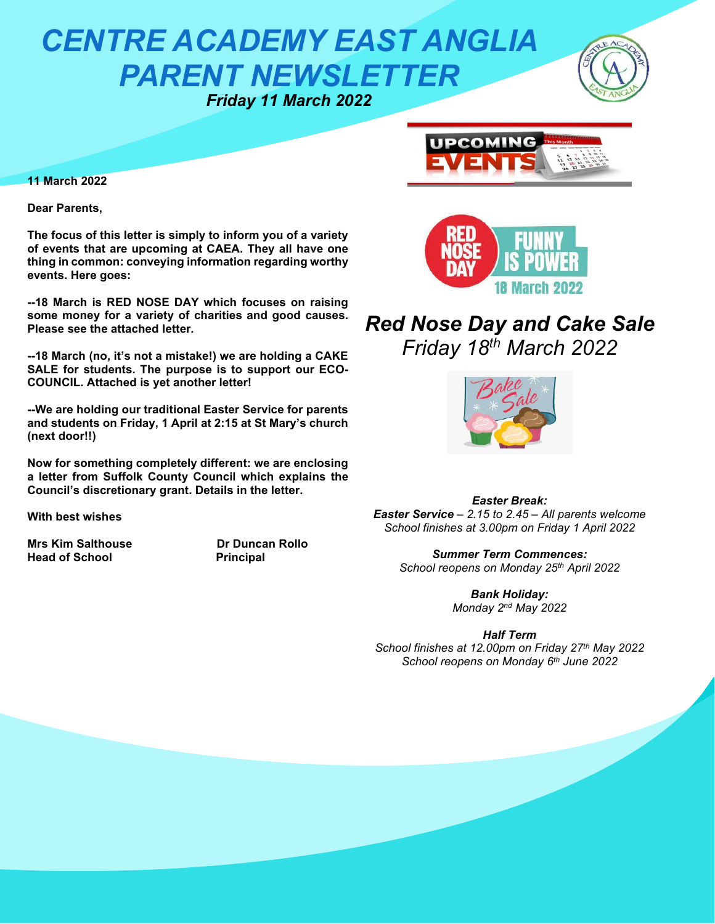# *CENTRE ACADEMY EAST ANGLIA PARENT NEWSLETTER Friday 11 March 2022*



**11 March 2022**

**Dear Parents,**

**The focus of this letter is simply to inform you of a variety of events that are upcoming at CAEA. They all have one thing in common: conveying information regarding worthy events. Here goes:**

**--18 March is RED NOSE DAY which focuses on raising some money for a variety of charities and good causes. Please see the attached letter.**

**--18 March (no, it's not a mistake!) we are holding a CAKE SALE for students. The purpose is to support our ECO-COUNCIL. Attached is yet another letter!**

**--We are holding our traditional Easter Service for parents and students on Friday, 1 April at 2:15 at St Mary's church (next door!!)**

**Now for something completely different: we are enclosing a letter from Suffolk County Council which explains the Council's discretionary grant. Details in the letter.**

**With best wishes**

**Mrs Kim Salthouse The School Control Dr Duncan Rollo**<br> **Head of School Principal Head of School** 





## *Red Nose Day and Cake Sale Friday 18th March 2022*



*Easter Break: Easter Service – 2.15 to 2.45 – All parents welcome School finishes at 3.00pm on Friday 1 April 2022*

*Summer Term Commences: School reopens on Monday 25th April 2022*

> *Bank Holiday: Monday 2nd May 2022*

#### *Half Term*

*School finishes at 12.00pm on Friday 27th May 2022 School reopens on Monday 6th June 2022*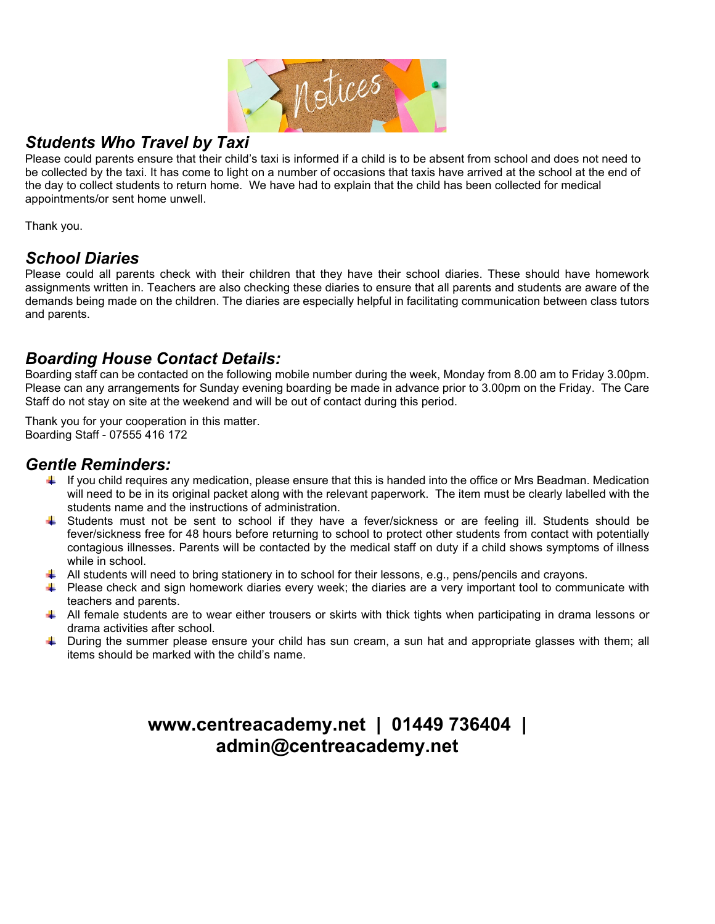Motices

## *Students Who Travel by Taxi*

Please could parents ensure that their child's taxi is informed if a child is to be absent from school and does not need to be collected by the taxi. It has come to light on a number of occasions that taxis have arrived at the school at the end of the day to collect students to return home. We have had to explain that the child has been collected for medical appointments/or sent home unwell.

Thank you.

## *School Diaries*

Please could all parents check with their children that they have their school diaries. These should have homework assignments written in. Teachers are also checking these diaries to ensure that all parents and students are aware of the demands being made on the children. The diaries are especially helpful in facilitating communication between class tutors and parents.

## *Boarding House Contact Details:*

Boarding staff can be contacted on the following mobile number during the week, Monday from 8.00 am to Friday 3.00pm. Please can any arrangements for Sunday evening boarding be made in advance prior to 3.00pm on the Friday. The Care Staff do not stay on site at the weekend and will be out of contact during this period.

Thank you for your cooperation in this matter. Boarding Staff - 07555 416 172

### *Gentle Reminders:*

- $\blacksquare$  If you child requires any medication, please ensure that this is handed into the office or Mrs Beadman. Medication will need to be in its original packet along with the relevant paperwork. The item must be clearly labelled with the students name and the instructions of administration.
- Students must not be sent to school if they have a fever/sickness or are feeling ill. Students should be fever/sickness free for 48 hours before returning to school to protect other students from contact with potentially contagious illnesses. Parents will be contacted by the medical staff on duty if a child shows symptoms of illness while in school.
- $\downarrow$  All students will need to bring stationery in to school for their lessons, e.g., pens/pencils and crayons.
- $\ddot{\bullet}$  Please check and sign homework diaries every week; the diaries are a very important tool to communicate with teachers and parents.
- All female students are to wear either trousers or skirts with thick tights when participating in drama lessons or drama activities after school.
- During the summer please ensure your child has sun cream, a sun hat and appropriate glasses with them; all items should be marked with the child's name.

## **www.centreacademy.net | 01449 736404 | admin@centreacademy.net**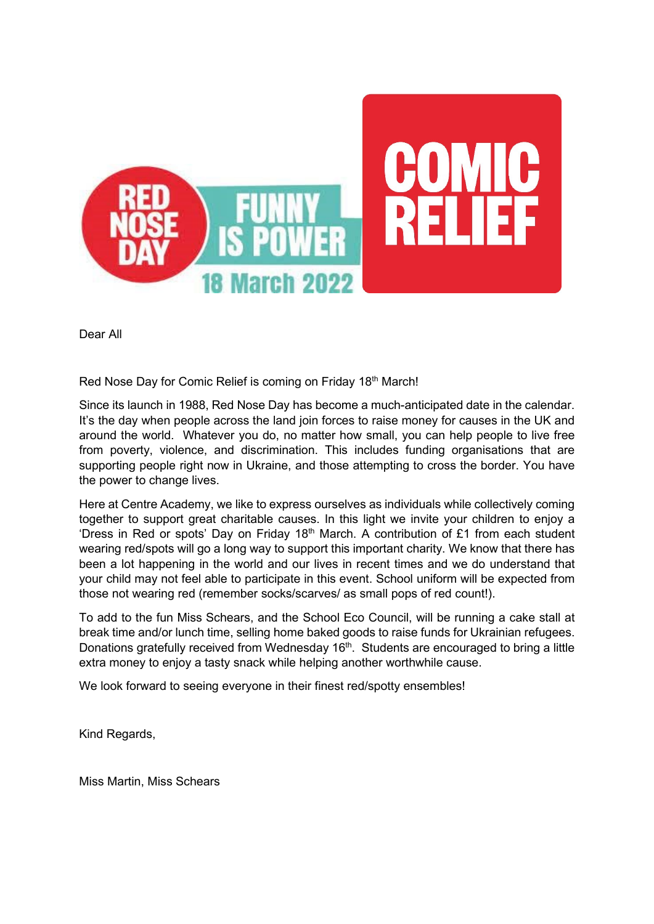

Dear All

Red Nose Day for Comic Relief is coming on Friday 18<sup>th</sup> March!

Since its launch in 1988, Red Nose Day has become a much-anticipated date in the calendar. It's the day when people across the land join forces to raise money for causes in the UK and around the world. Whatever you do, no matter how small, you can help people to live free from poverty, violence, and discrimination. This includes funding organisations that are supporting people right now in Ukraine, and those attempting to cross the border. You have the power to change lives.

Here at Centre Academy, we like to express ourselves as individuals while collectively coming together to support great charitable causes. In this light we invite your children to enjoy a 'Dress in Red or spots' Day on Friday 18<sup>th</sup> March. A contribution of £1 from each student wearing red/spots will go a long way to support this important charity. We know that there has been a lot happening in the world and our lives in recent times and we do understand that your child may not feel able to participate in this event. School uniform will be expected from those not wearing red (remember socks/scarves/ as small pops of red count!).

To add to the fun Miss Schears, and the School Eco Council, will be running a cake stall at break time and/or lunch time, selling home baked goods to raise funds for Ukrainian refugees. Donations gratefully received from Wednesday  $16<sup>th</sup>$ . Students are encouraged to bring a little extra money to enjoy a tasty snack while helping another worthwhile cause.

We look forward to seeing everyone in their finest red/spotty ensembles!

Kind Regards,

Miss Martin, Miss Schears